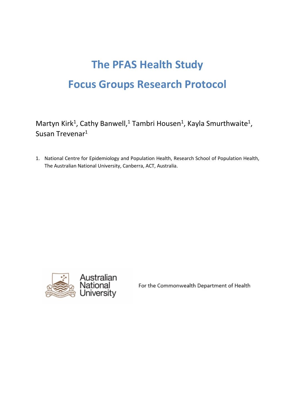# **The PFAS Health Study Focus Groups Research Protocol**

Martyn Kirk<sup>1</sup>, Cathy Banwell,<sup>1</sup> Tambri Housen<sup>1</sup>, Kayla Smurthwaite<sup>1</sup>, Susan Trevenar1

1. National Centre for Epidemiology and Population Health, Research School of Population Health, The Australian National University, Canberra, ACT, Australia.



For the Commonwealth Department of Health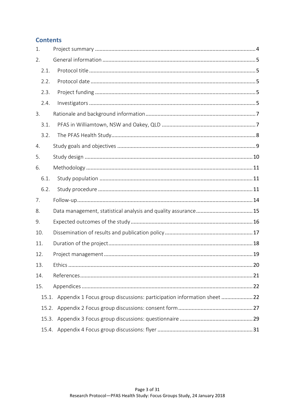# **Contents**

| 1.    |                                                                              |
|-------|------------------------------------------------------------------------------|
| 2.    |                                                                              |
| 2.1.  |                                                                              |
| 2.2.  |                                                                              |
| 2.3.  |                                                                              |
| 2.4.  |                                                                              |
| 3.    |                                                                              |
| 3.1.  |                                                                              |
| 3.2.  |                                                                              |
| 4.    |                                                                              |
| 5.    |                                                                              |
| 6.    |                                                                              |
| 6.1.  |                                                                              |
| 6.2.  |                                                                              |
| 7.    |                                                                              |
| 8.    |                                                                              |
| 9.    |                                                                              |
| 10.   |                                                                              |
| 11.   |                                                                              |
| 12.   |                                                                              |
| 13.   | 20                                                                           |
| 14.   |                                                                              |
| 15.   |                                                                              |
|       | 15.1. Appendix 1 Focus group discussions: participation information sheet 22 |
| 15.2. |                                                                              |
| 15.3. |                                                                              |
|       |                                                                              |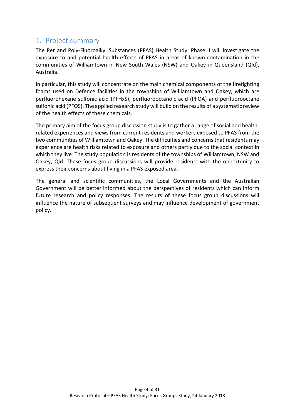# <span id="page-3-0"></span>1. Project summary

The Per and Poly-Fluoroalkyl Substances (PFAS) Health Study: Phase II will investigate the exposure to and potential health effects of PFAS in areas of known contamination in the communities of Williamtown in New South Wales (NSW) and Oakey in Queensland (Qld), Australia.

In particular, this study will concentrate on the main chemical components of the firefighting foams used on Defence facilities in the townships of Williamtown and Oakey, which are perfluorohexane sulfonic acid (PFHxS), perfluorooctanoic acid (PFOA) and perfluorooctane sulfonic acid (PFOS). The applied research study will build on the results of a systematic review of the health effects of these chemicals.

The primary aim of the focus group discussion study is to gather a range of social and healthrelated experiences and views from current residents and workers exposed to PFAS from the two communities of Williamtown and Oakey. The difficulties and concerns that residents may experience are health risks related to exposure and others partly due to the social context in which they live. The study population is residents of the townships of Williamtown, NSW and Oakey, Qld. These focus group discussions will provide residents with the opportunity to express their concerns about living in a PFAS exposed area.

The general and scientific communities, the Local Governments and the Australian Government will be better informed about the perspectives of residents which can inform future research and policy responses. The results of these focus group discussions will influence the nature of subsequent surveys and may influence development of government policy.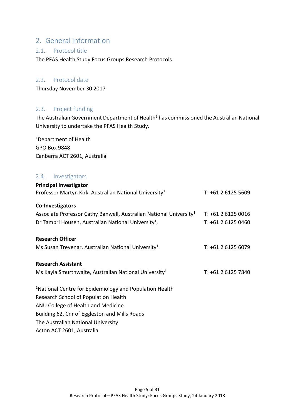# <span id="page-4-0"></span>2. General information

## <span id="page-4-1"></span>2.1. Protocol title

The PFAS Health Study Focus Groups Research Protocols

## <span id="page-4-2"></span>2.2. Protocol date

Thursday November 30 2017

## <span id="page-4-3"></span>2.3. Project funding

The Australian Government Department of Health<sup>1</sup> has commissioned the Australian National University to undertake the PFAS Health Study.

1Department of Health GPO Box 9848 Canberra ACT 2601, Australia

## <span id="page-4-4"></span>2.4. Investigators

| <b>Principal Investigator</b>                                                  |                    |
|--------------------------------------------------------------------------------|--------------------|
| Professor Martyn Kirk, Australian National University <sup>1</sup>             | $T: +61261255609$  |
| Co-Investigators                                                               |                    |
| Associate Professor Cathy Banwell, Australian National University <sup>1</sup> | $T: +61261250016$  |
| Dr Tambri Housen, Australian National University <sup>1</sup> ,                | T: +61 2 6125 0460 |
| <b>Research Officer</b>                                                        |                    |
| Ms Susan Trevenar, Australian National University <sup>1</sup>                 | $T: +61261256079$  |
| <b>Research Assistant</b>                                                      |                    |
| Ms Kayla Smurthwaite, Australian National University <sup>1</sup>              | $T: +61261257840$  |
|                                                                                |                    |
| <sup>1</sup> National Centre for Epidemiology and Population Health            |                    |
| Research School of Population Health                                           |                    |
| ANU College of Health and Medicine                                             |                    |
| Building 62, Cnr of Eggleston and Mills Roads                                  |                    |
| The Australian National University                                             |                    |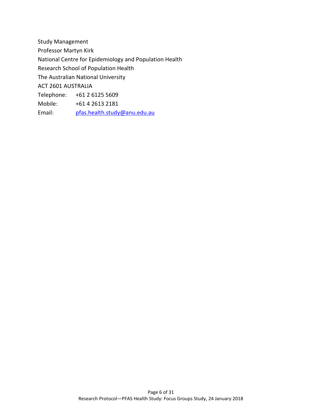Study Management Professor Martyn Kirk National Centre for Epidemiology and Population Health Research School of Population Health The Australian National University ACT 2601 AUSTRALIA Telephone: +61 2 6125 5609 Mobile: +61 4 2613 2181 Email: [pfas.health.study@anu.edu.au](mailto:pfas.health.study@anu.edu.au)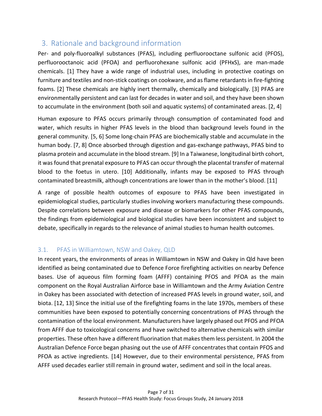# 3. Rationale and background information

<span id="page-6-0"></span>Per- and poly-fluoroalkyl substances (PFAS), including perfluorooctane sulfonic acid (PFOS), perfluorooctanoic acid (PFOA) and perfluorohexane sulfonic acid (PFHxS), are man-made chemicals. [1] They have a wide range of industrial uses, including in protective coatings on furniture and textiles and non-stick coatings on cookware, and as flame retardants in fire-fighting foams. [2] These chemicals are highly inert thermally, chemically and biologically. [3] PFAS are environmentally persistent and can last for decades in water and soil, and they have been shown to accumulate in the environment (both soil and aquatic systems) of contaminated areas. [2, 4]

Human exposure to PFAS occurs primarily through consumption of contaminated food and water, which results in higher PFAS levels in the blood than background levels found in the general community. [5, 6] Some long-chain PFAS are biochemically stable and accumulate in the human body. [7, 8] Once absorbed through digestion and gas-exchange pathways, PFAS bind to plasma protein and accumulate in the blood stream. [9] In a Taiwanese, longitudinal birth cohort, it was found that prenatal exposure to PFAS can occur through the placental transfer of maternal blood to the foetus in utero. [10] Additionally, infants may be exposed to PFAS through contaminated breastmilk, although concentrations are lower than in the mother's blood. [11]

A range of possible health outcomes of exposure to PFAS have been investigated in epidemiological studies, particularly studies involving workers manufacturing these compounds. Despite correlations between exposure and disease or biomarkers for other PFAS compounds, the findings from epidemiological and biological studies have been inconsistent and subject to debate, specifically in regards to the relevance of animal studies to human health outcomes.

# 3.1. PFAS in Williamtown, NSW and Oakey, QLD

<span id="page-6-1"></span>In recent years, the environments of areas in Williamtown in NSW and Oakey in Qld have been identified as being contaminated due to Defence Force firefighting activities on nearby Defence bases. Use of aqueous film forming foam (AFFF) containing PFOS and PFOA as the main component on the Royal Australian Airforce base in Williamtown and the Army Aviation Centre in Oakey has been associated with detection of increased PFAS levels in ground water, soil, and biota. [12, 13] Since the initial use of the firefighting foams in the late 1970s, members of these communities have been exposed to potentially concerning concentrations of PFAS through the contamination of the local environment. Manufacturers have largely phased out PFOS and PFOA from AFFF due to toxicological concerns and have switched to alternative chemicals with similar properties. These often have a different fluorination that makes them less persistent. In 2004 the Australian Defence Force began phasing out the use of AFFF concentrates that contain PFOS and PFOA as active ingredients. [14] However, due to their environmental persistence, PFAS from AFFF used decades earlier still remain in ground water, sediment and soil in the local areas.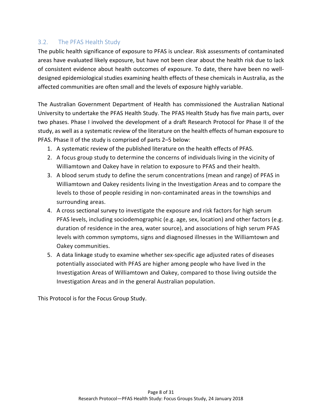# 3.2. The PFAS Health Study

<span id="page-7-0"></span>The public health significance of exposure to PFAS is unclear. Risk assessments of contaminated areas have evaluated likely exposure, but have not been clear about the health risk due to lack of consistent evidence about health outcomes of exposure. To date, there have been no welldesigned epidemiological studies examining health effects of these chemicals in Australia, as the affected communities are often small and the levels of exposure highly variable.

The Australian Government Department of Health has commissioned the Australian National University to undertake the PFAS Health Study. The PFAS Health Study has five main parts, over two phases. Phase I involved the development of a draft Research Protocol for Phase II of the study, as well as a systematic review of the literature on the health effects of human exposure to PFAS. Phase II of the study is comprised of parts 2–5 below:

- 1. A systematic review of the published literature on the health effects of PFAS.
- 2. A focus group study to determine the concerns of individuals living in the vicinity of Williamtown and Oakey have in relation to exposure to PFAS and their health.
- 3. A blood serum study to define the serum concentrations (mean and range) of PFAS in Williamtown and Oakey residents living in the Investigation Areas and to compare the levels to those of people residing in non-contaminated areas in the townships and surrounding areas.
- 4. A cross sectional survey to investigate the exposure and risk factors for high serum PFAS levels, including sociodemographic (e.g. age, sex, location) and other factors (e.g. duration of residence in the area, water source), and associations of high serum PFAS levels with common symptoms, signs and diagnosed illnesses in the Williamtown and Oakey communities.
- 5. A data linkage study to examine whether sex-specific age adjusted rates of diseases potentially associated with PFAS are higher among people who have lived in the Investigation Areas of Williamtown and Oakey, compared to those living outside the Investigation Areas and in the general Australian population.

This Protocol is for the Focus Group Study.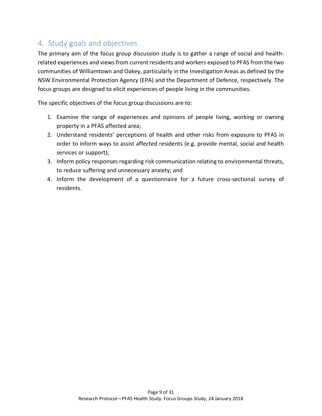# 4. Study goals and objectives

<span id="page-8-0"></span>The primary aim of the focus group discussion study is to gather a range of social and healthrelated experiences and views from current residents and workers exposed to PFAS from the two communities of Williamtown and Oakey, particularly in the Investigation Areas as defined by the NSW Environmental Protection Agency (EPA) and the Department of Defence, respectively. The focus groups are designed to elicit experiences of people living in the communities.

The specific objectives of the focus group discussions are to:

- 1. Examine the range of experiences and opinions of people living, working or owning property in a PFAS affected area;
- 2. Understand residents' perceptions of health and other risks from exposure to PFAS in order to inform ways to assist affected residents (e.g. provide mental, social and health services or support);
- 3. Inform policy responses regarding risk communication relating to environmental threats, to reduce suffering and unnecessary anxiety; and
- 4. Inform the development of a questionnaire for a future cross-sectional survey of residents.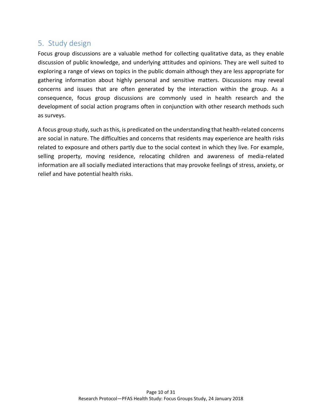# 5. Study design

<span id="page-9-0"></span>Focus group discussions are a valuable method for collecting qualitative data, as they enable discussion of public knowledge, and underlying attitudes and opinions. They are well suited to exploring a range of views on topics in the public domain although they are less appropriate for gathering information about highly personal and sensitive matters. Discussions may reveal concerns and issues that are often generated by the interaction within the group. As a consequence, focus group discussions are commonly used in health research and the development of social action programs often in conjunction with other research methods such as surveys.

A focus group study, such as this, is predicated on the understanding that health-related concerns are social in nature. The difficulties and concerns that residents may experience are health risks related to exposure and others partly due to the social context in which they live. For example, selling property, moving residence, relocating children and awareness of media-related information are all socially mediated interactions that may provoke feelings of stress, anxiety, or relief and have potential health risks.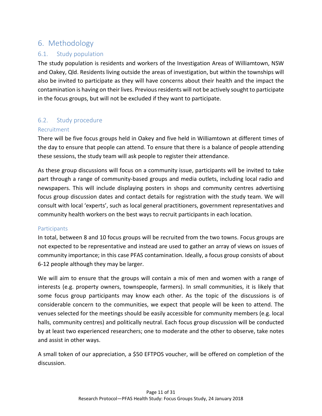# 6. Methodology

# 6.1. Study population

<span id="page-10-1"></span><span id="page-10-0"></span>The study population is residents and workers of the Investigation Areas of Williamtown, NSW and Oakey, Qld. Residents living outside the areas of investigation, but within the townships will also be invited to participate as they will have concerns about their health and the impact the contamination is having on their lives. Previous residents will not be actively sought to participate in the focus groups, but will not be excluded if they want to participate.

## 6.2. Study procedure

## Recruitment

<span id="page-10-2"></span>There will be five focus groups held in Oakey and five held in Williamtown at different times of the day to ensure that people can attend. To ensure that there is a balance of people attending these sessions, the study team will ask people to register their attendance.

As these group discussions will focus on a community issue, participants will be invited to take part through a range of community-based groups and media outlets, including local radio and newspapers. This will include displaying posters in shops and community centres advertising focus group discussion dates and contact details for registration with the study team. We will consult with local 'experts', such as local general practitioners, government representatives and community health workers on the best ways to recruit participants in each location.

## Participants

In total, between 8 and 10 focus groups will be recruited from the two towns. Focus groups are not expected to be representative and instead are used to gather an array of views on issues of community importance; in this case PFAS contamination. Ideally, a focus group consists of about 6-12 people although they may be larger.

We will aim to ensure that the groups will contain a mix of men and women with a range of interests (e.g. property owners, townspeople, farmers). In small communities, it is likely that some focus group participants may know each other. As the topic of the discussions is of considerable concern to the communities, we expect that people will be keen to attend. The venues selected for the meetings should be easily accessible for community members (e.g. local halls, community centres) and politically neutral. Each focus group discussion will be conducted by at least two experienced researchers; one to moderate and the other to observe, take notes and assist in other ways.

A small token of our appreciation, a \$50 EFTPOS voucher, will be offered on completion of the discussion.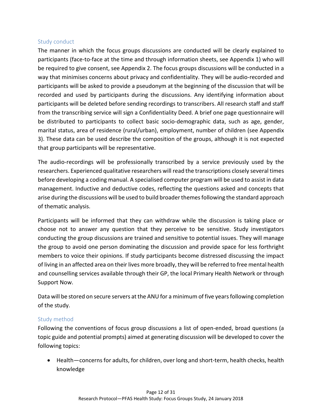## Study conduct

The manner in which the focus groups discussions are conducted will be clearly explained to participants (face-to-face at the time and through information sheets, see Appendix 1) who will be required to give consent, see Appendix 2. The focus groups discussions will be conducted in a way that minimises concerns about privacy and confidentiality. They will be audio-recorded and participants will be asked to provide a pseudonym at the beginning of the discussion that will be recorded and used by participants during the discussions. Any identifying information about participants will be deleted before sending recordings to transcribers. All research staff and staff from the transcribing service will sign a Confidentiality Deed. A brief one page questionnaire will be distributed to participants to collect basic socio-demographic data, such as age, gender, marital status, area of residence (rural/urban), employment, number of children (see Appendix 3). These data can be used describe the composition of the groups, although it is not expected that group participants will be representative.

The audio-recordings will be professionally transcribed by a service previously used by the researchers. Experienced qualitative researchers will read the transcriptions closely several times before developing a coding manual. A specialised computer program will be used to assist in data management. Inductive and deductive codes, reflecting the questions asked and concepts that arise during the discussions will be used to build broader themes following the standard approach of thematic analysis.

Participants will be informed that they can withdraw while the discussion is taking place or choose not to answer any question that they perceive to be sensitive. Study investigators conducting the group discussions are trained and sensitive to potential issues. They will manage the group to avoid one person dominating the discussion and provide space for less forthright members to voice their opinions. If study participants become distressed discussing the impact of living in an affected area on their lives more broadly, they will be referred to free mental health and counselling services available through their GP, the local Primary Health Network or through Support Now.

Data will be stored on secure servers at the ANU for a minimum of five years following completion of the study.

## Study method

Following the conventions of focus group discussions a list of open-ended, broad questions (a topic guide and potential prompts) aimed at generating discussion will be developed to cover the following topics:

• Health—concerns for adults, for children, over long and short-term, health checks, health knowledge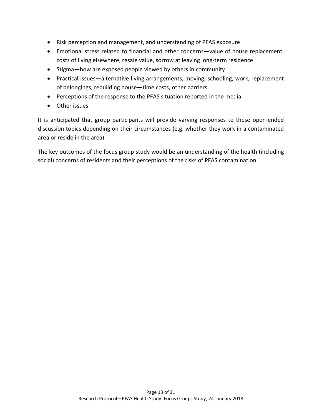- Risk perception and management, and understanding of PFAS exposure
- Emotional stress related to financial and other concerns—value of house replacement, costs of living elsewhere, resale value, sorrow at leaving long-term residence
- Stigma—how are exposed people viewed by others in community
- Practical issues—alternative living arrangements, moving, schooling, work, replacement of belongings, rebuilding house—time costs, other barriers
- Perceptions of the response to the PFAS situation reported in the media
- Other issues

It is anticipated that group participants will provide varying responses to these open-ended discussion topics depending on their circumstances (e.g. whether they work in a contaminated area or reside in the area).

The key outcomes of the focus group study would be an understanding of the health (including social) concerns of residents and their perceptions of the risks of PFAS contamination.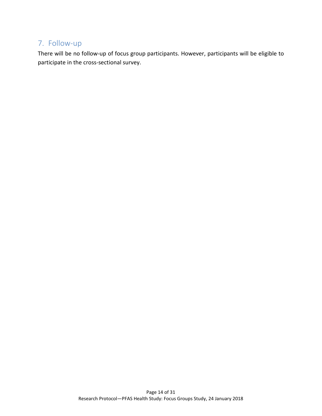# 7. Follow-up

<span id="page-13-0"></span>There will be no follow-up of focus group participants. However, participants will be eligible to participate in the cross-sectional survey.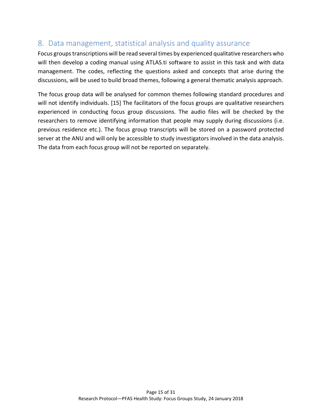# 8. Data management, statistical analysis and quality assurance

<span id="page-14-0"></span>Focus groups transcriptions will be read several times by experienced qualitative researchers who will then develop a coding manual using ATLAS.ti software to assist in this task and with data management. The codes, reflecting the questions asked and concepts that arise during the discussions, will be used to build broad themes, following a general thematic analysis approach.

The focus group data will be analysed for common themes following standard procedures and will not identify individuals. [15] The facilitators of the focus groups are qualitative researchers experienced in conducting focus group discussions. The audio files will be checked by the researchers to remove identifying information that people may supply during discussions (i.e. previous residence etc.). The focus group transcripts will be stored on a password protected server at the ANU and will only be accessible to study investigators involved in the data analysis. The data from each focus group will not be reported on separately.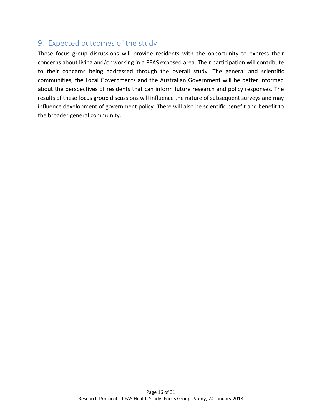# 9. Expected outcomes of the study

<span id="page-15-0"></span>These focus group discussions will provide residents with the opportunity to express their concerns about living and/or working in a PFAS exposed area. Their participation will contribute to their concerns being addressed through the overall study. The general and scientific communities, the Local Governments and the Australian Government will be better informed about the perspectives of residents that can inform future research and policy responses. The results of these focus group discussions will influence the nature of subsequent surveys and may influence development of government policy. There will also be scientific benefit and benefit to the broader general community.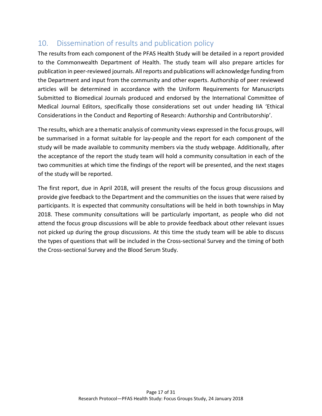# 10. Dissemination of results and publication policy

<span id="page-16-0"></span>The results from each component of the PFAS Health Study will be detailed in a report provided to the Commonwealth Department of Health. The study team will also prepare articles for publication in peer-reviewed journals. All reports and publications will acknowledge funding from the Department and input from the community and other experts. Authorship of peer reviewed articles will be determined in accordance with the Uniform Requirements for Manuscripts Submitted to Biomedical Journals produced and endorsed by the International Committee of Medical Journal Editors, specifically those considerations set out under heading IIA 'Ethical Considerations in the Conduct and Reporting of Research: Authorship and Contributorship'.

The results, which are a thematic analysis of community views expressed in the focus groups, will be summarised in a format suitable for lay-people and the report for each component of the study will be made available to community members via the study webpage. Additionally, after the acceptance of the report the study team will hold a community consultation in each of the two communities at which time the findings of the report will be presented, and the next stages of the study will be reported.

The first report, due in April 2018, will present the results of the focus group discussions and provide give feedback to the Department and the communities on the issues that were raised by participants. It is expected that community consultations will be held in both townships in May 2018. These community consultations will be particularly important, as people who did not attend the focus group discussions will be able to provide feedback about other relevant issues not picked up during the group discussions. At this time the study team will be able to discuss the types of questions that will be included in the Cross-sectional Survey and the timing of both the Cross-sectional Survey and the Blood Serum Study.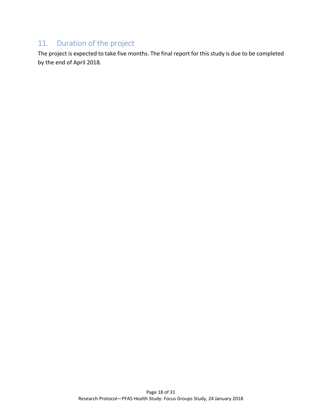# 11. Duration of the project

<span id="page-17-0"></span>The project is expected to take five months. The final report for this study is due to be completed by the end of April 2018.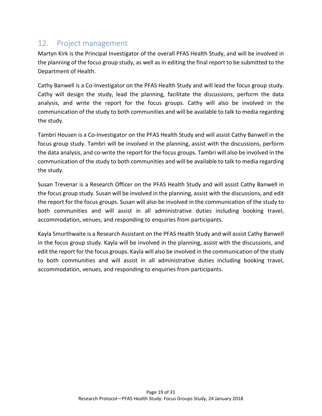# 12. Project management

<span id="page-18-0"></span>Martyn Kirk is the Principal Investigator of the overall PFAS Health Study, and will be involved in the planning of the focus group study, as well as in editing the final report to be submitted to the Department of Health.

Cathy Banwell is a Co-Investigator on the PFAS Health Study and will lead the focus group study. Cathy will design the study, lead the planning, facilitate the discussions, perform the data analysis, and write the report for the focus groups. Cathy will also be involved in the communication of the study to both communities and will be available to talk to media regarding the study.

Tambri Housen is a Co-Investigator on the PFAS Health Study and will assist Cathy Banwell in the focus group study. Tambri will be involved in the planning, assist with the discussions, perform the data analysis, and co-write the report for the focus groups. Tambri will also be involved in the communication of the study to both communities and will be available to talk to media regarding the study.

Susan Trevenar is a Research Officer on the PFAS Health Study and will assist Cathy Banwell in the focus group study. Susan will be involved in the planning, assist with the discussions, and edit the report for the focus groups. Susan will also be involved in the communication of the study to both communities and will assist in all administrative duties including booking travel, accommodation, venues, and responding to enquiries from participants.

Kayla Smurthwaite is a Research Assistant on the PFAS Health Study and will assist Cathy Banwell in the focus group study. Kayla will be involved in the planning, assist with the discussions, and edit the report for the focus groups. Kayla will also be involved in the communication of the study to both communities and will assist in all administrative duties including booking travel, accommodation, venues, and responding to enquiries from participants.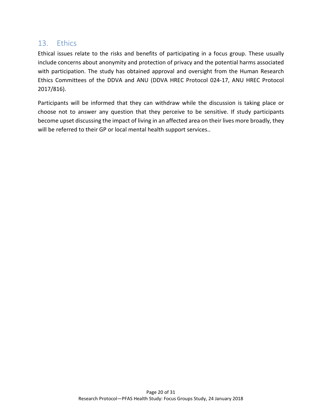# 13. Ethics

<span id="page-19-0"></span>Ethical issues relate to the risks and benefits of participating in a focus group. These usually include concerns about anonymity and protection of privacy and the potential harms associated with participation. The study has obtained approval and oversight from the Human Research Ethics Committees of the DDVA and ANU (DDVA HREC Protocol 024-17, ANU HREC Protocol 2017/816).

Participants will be informed that they can withdraw while the discussion is taking place or choose not to answer any question that they perceive to be sensitive. If study participants become upset discussing the impact of living in an affected area on their lives more broadly, they will be referred to their GP or local mental health support services..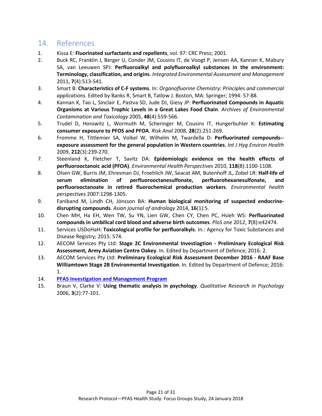# 14. References

- 1. Kissa E: **Fluorinated surfactants and repellents**, vol. 97: CRC Press; 2001.
- <span id="page-20-0"></span>2. Buck RC, Franklin J, Berger U, Conder JM, Cousins IT, de Voogt P, Jensen AA, Kannan K, Mabury SA, van Leeuwen SPJ: **Perfluoroalkyl and polyfluoroalkyl substances in the environment: Terminology, classification, and origins**. *Integrated Environmental Assessment and Management*  2011, **7**(4):513-541.
- 3. Smart B: **Characteristics of C-F systems**. In: *Organofluorine Chemistry: Principles and commercial applications.* Edited by Banks R, Smart B, Tatlow J. Boston, MA: Springer; 1994: 57-88.
- 4. Kannan K, Tao L, Sinclair E, Pastva SD, Jude DJ, Giesy JP: **Perfluorinated Compounds in Aquatic Organisms at Various Trophic Levels in a Great Lakes Food Chain**. *Archives of Environmental Contamination and Toxicology* 2005, **48**(4):559-566.
- 5. Trudel D, Horowitz L, Wormuth M, Scheringer M, Cousins IT, Hungerbuhler K: **Estimating consumer exposure to PFOS and PFOA**. *Risk Anal* 2008, **28**(2):251-269.
- 6. Fromme H, Tittlemier SA, Volkel W, Wilhelm M, Twardella D: **Perfluorinated compounds- exposure assessment for the general population in Western countries**. *Int J Hyg Environ Health*  2009, **212**(3):239-270.
- 7. Steenland K, Fletcher T, Savitz DA: **Epidemiologic evidence on the health effects of perfluorooctanoic acid (PFOA)**. *Environmental Health Perspectives* 2010, **118**(8):1100-1108.
- 8. Olsen GW, Burris JM, Ehresman DJ, Froehlich JW, Seacat AM, Butenhoff JL, Zobel LR: **Half-life of serum elimination of perfluorooctanesulfonate, perfluorohexanesulfonate, and perfluorooctanoate in retired fluorochemical production workers**. *Environmental health perspectives* 2007:1298-1305.
- 9. Faniband M, Lindh CH, Jönsson BA: **Human biological monitoring of suspected endocrinedisrupting compounds**. *Asian journal of andrology* 2014, **16**(1):5.
- 10. Chen MH, Ha EH, Wen TW, Su YN, Lien GW, Chen CY, Chen PC, Hsieh WS: **Perfluorinated compounds in umbilical cord blood and adverse birth outcomes**. *PloS one* 2012, **7**(8):e42474.
- 11. Services USDoHaH: **Toxicological profile for perfluoralkyls**. In*.*: Agency for Toxic Substances and Disease Registry; 2015: 574.
- 12. AECOM Services Pty Ltd: **Stage 2C Environmental Investiagtion - Preliminary Ecological Risk Assessment, Army Aviation Centre Oakey**. In*.* Edited by Department of Defence; 2016: 2.
- 13. AECOM Services Pty Ltd: **Preliminary Ecological Risk Assessment December 2016 - RAAF Base Williamtown Stage 2B Environmental Investigation**. In*.* Edited by Department of Defence; 2016: 1.
- 14. **[PFAS Investigation and Management Program](http://www.defence.gov.au/Environment/PFAS/)**
- 15. Braun V, Clarke V: **Using thematic analysis in psychology**. *Qualitative Research in Psychology*  2006, **3**(2):77-101.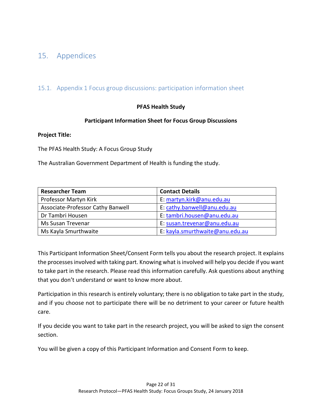# <span id="page-21-0"></span>15. Appendices

## <span id="page-21-1"></span>15.1. Appendix 1 Focus group discussions: participation information sheet

## **PFAS Health Study**

#### **Participant Information Sheet for Focus Group Discussions**

#### **Project Title:**

The PFAS Health Study: A Focus Group Study

The Australian Government Department of Health is funding the study.

| <b>Researcher Team</b>            | <b>Contact Details</b>          |
|-----------------------------------|---------------------------------|
| Professor Martyn Kirk             | E: martyn.kirk@anu.edu.au       |
| Associate-Professor Cathy Banwell | E: cathy.banwell@anu.edu.au     |
| Dr Tambri Housen                  | E: tambri.housen@anu.edu.au     |
| Ms Susan Trevenar                 | E: susan.trevenar@anu.edu.au    |
| Ms Kayla Smurthwaite              | E: kayla.smurthwaite@anu.edu.au |

This Participant Information Sheet/Consent Form tells you about the research project. It explains the processes involved with taking part. Knowing what is involved will help you decide if you want to take part in the research. Please read this information carefully. Ask questions about anything that you don't understand or want to know more about.

Participation in this research is entirely voluntary; there is no obligation to take part in the study, and if you choose not to participate there will be no detriment to your career or future health care.

If you decide you want to take part in the research project, you will be asked to sign the consent section.

You will be given a copy of this Participant Information and Consent Form to keep.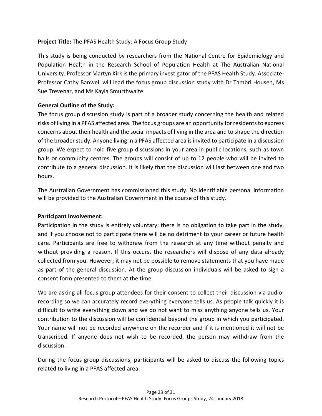## **Project Title:** The PFAS Health Study: A Focus Group Study

This study is being conducted by researchers from the National Centre for Epidemiology and Population Health in the Research School of Population Health at The Australian National University. Professor Martyn Kirk is the primary investigator of the PFAS Health Study. Associate-Professor Cathy Banwell will lead the focus group discussion study with Dr Tambri Housen, Ms Sue Trevenar, and Ms Kayla Smurthwaite.

## **General Outline of the Study:**

The focus group discussion study is part of a broader study concerning the health and related risks of living in a PFAS affected area. The focus groups are an opportunity for residents to express concerns about their health and the social impacts of living in the area and to shape the direction of the broader study. Anyone living in a PFAS affected area is invited to participate in a discussion group. We expect to hold five group discussions in your area in public locations, such as town halls or community centres. The groups will consist of up to 12 people who will be invited to contribute to a general discussion. It is likely that the discussion will last between one and two hours.

The Australian Government has commissioned this study. No identifiable personal information will be provided to the Australian Government in the course of this study.

## **Participant Involvement:**

Participation in the study is entirely voluntary; there is no obligation to take part in the study, and if you choose not to participate there will be no detriment to your career or future health care. Participants are free to withdraw from the research at any time without penalty and without providing a reason. If this occurs, the researchers will dispose of any data already collected from you. However, it may not be possible to remove statements that you have made as part of the general discussion. At the group discussion individuals will be asked to sign a consent form presented to them at the time.

We are asking all focus group attendees for their consent to collect their discussion via audiorecording so we can accurately record everything everyone tells us. As people talk quickly it is difficult to write everything down and we do not want to miss anything anyone tells us. Your contribution to the discussion will be confidential beyond the group in which you participated. Your name will not be recorded anywhere on the recorder and if it is mentioned it will not be transcribed. If anyone does not wish to be recorded, the person may withdraw from the discussion.

During the focus group discussions, participants will be asked to discuss the following topics related to living in a PFAS affected area: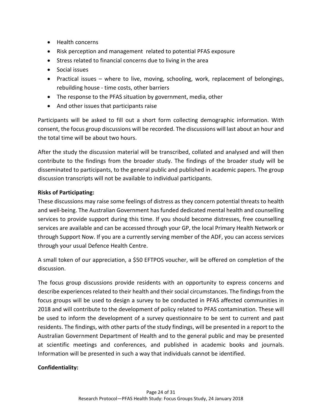- Health concerns
- Risk perception and management related to potential PFAS exposure
- Stress related to financial concerns due to living in the area
- Social issues
- Practical issues where to live, moving, schooling, work, replacement of belongings, rebuilding house - time costs, other barriers
- The response to the PFAS situation by government, media, other
- And other issues that participants raise

Participants will be asked to fill out a short form collecting demographic information. With consent, the focus group discussions will be recorded. The discussions will last about an hour and the total time will be about two hours.

After the study the discussion material will be transcribed, collated and analysed and will then contribute to the findings from the broader study. The findings of the broader study will be disseminated to participants, to the general public and published in academic papers. The group discussion transcripts will not be available to individual participants.

#### **Risks of Participating:**

These discussions may raise some feelings of distress as they concern potential threats to health and well-being. The Australian Government has funded dedicated mental health and counselling services to provide support during this time. If you should become distresses, free counselling services are available and can be accessed through your GP, the local Primary Health Network or through Support Now. If you are a currently serving member of the ADF, you can access services through your usual Defence Health Centre.

A small token of our appreciation, a \$50 EFTPOS voucher, will be offered on completion of the discussion.

The focus group discussions provide residents with an opportunity to express concerns and describe experiences related to their health and their social circumstances. The findings from the focus groups will be used to design a survey to be conducted in PFAS affected communities in 2018 and will contribute to the development of policy related to PFAS contamination. These will be used to inform the development of a survey questionnaire to be sent to current and past residents. The findings, with other parts of the study findings, will be presented in a report to the Australian Government Department of Health and to the general public and may be presented at scientific meetings and conferences, and published in academic books and journals. Information will be presented in such a way that individuals cannot be identified.

#### **Confidentiality:**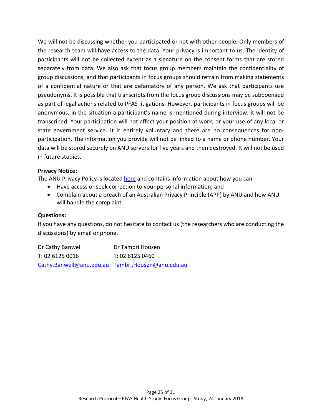We will not be discussing whether you participated or not with other people. Only members of the research team will have access to the data. Your privacy is important to us. The identity of participants will not be collected except as a signature on the consent forms that are stored separately from data. We also ask that focus group members maintain the confidentiality of group discussions, and that participants in focus groups should refrain from making statements of a confidential nature or that are defamatory of any person. We ask that participants use pseudonyms. It is possible that transcripts from the focus group discussions may be subpoenaed as part of legal actions related to PFAS litigations. However, participants in focus groups will be anonymous, in the situation a participant's name is mentioned during interview, it will not be transcribed. Your participation will not affect your position at work, or your use of any local or state government service. It is entirely voluntary and there are no consequences for nonparticipation. The information you provide will not be linked to a name or phone number. Your data will be stored securely on ANU servers for five years and then destroyed. It will not be used in future studies.

#### **Privacy Notice:**

The ANU Privacy Policy is located [here](https://policies.anu.edu.au/ppl/document/ANUP_010007) and contains information about how you can

- Have access or seek correction to your personal information; and
- Complain about a breach of an Australian Privacy Principle (APP) by ANU and how ANU will handle the complaint.

#### **Questions:**

If you have any questions, do not hesitate to contact us (the researchers who are conducting the discussions) by email or phone.

Dr Cathy Banwell **Dr Tambri Housen** T: 02 6125 0016 T: 02 6125 0460 [Cathy.Banwell@anu.edu.au](mailto:Cathy.Banwell@anu.edu.au) Tambri.Housen@anu.edu.au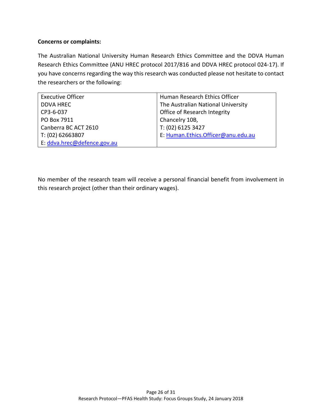## **Concerns or complaints:**

The Australian National University Human Research Ethics Committee and the DDVA Human Research Ethics Committee (ANU HREC protocol 2017/816 and DDVA HREC protocol 024-17). If you have concerns regarding the way this research was conducted please not hesitate to contact the researchers or the following:

| <b>Executive Officer</b>    | Human Research Ethics Officer      |
|-----------------------------|------------------------------------|
| <b>DDVA HREC</b>            | The Australian National University |
| CP3-6-037                   | Office of Research Integrity       |
| PO Box 7911                 | Chancelry 10B,                     |
| Canberra BC ACT 2610        | T: (02) 6125 3427                  |
| T: (02) 62663807            | E: Human.Ethics.Officer@anu.edu.au |
| E: ddva.hrec@defence.gov.au |                                    |

No member of the research team will receive a personal financial benefit from involvement in this research project (other than their ordinary wages).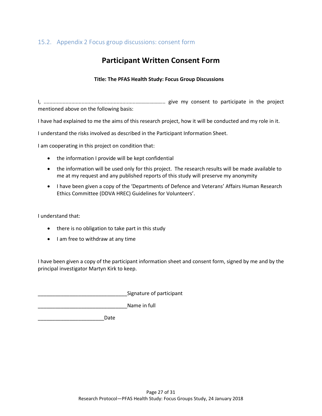## <span id="page-26-0"></span>15.2. Appendix 2 Focus group discussions: consent form

# **Participant Written Consent Form**

#### **Title: The PFAS Health Study: Focus Group Discussions**

I, ................................................................………………... give my consent to participate in the project mentioned above on the following basis:

I have had explained to me the aims of this research project, how it will be conducted and my role in it.

I understand the risks involved as described in the Participant Information Sheet.

I am cooperating in this project on condition that:

- the information I provide will be kept confidential
- the information will be used only for this project. The research results will be made available to me at my request and any published reports of this study will preserve my anonymity
- I have been given a copy of the 'Departments of Defence and Veterans' Affairs Human Research Ethics Committee (DDVA HREC) Guidelines for Volunteers'.

I understand that:

- there is no obligation to take part in this study
- I am free to withdraw at any time

I have been given a copy of the participant information sheet and consent form, signed by me and by the principal investigator Martyn Kirk to keep.

\_\_\_\_\_\_\_\_\_\_\_\_\_\_\_\_\_\_\_\_\_\_\_\_\_\_\_\_\_\_\_Signature of participant

 $\blacksquare$  Name in full

\_\_\_\_\_\_\_\_\_\_\_\_\_\_\_\_\_\_\_\_\_\_\_Date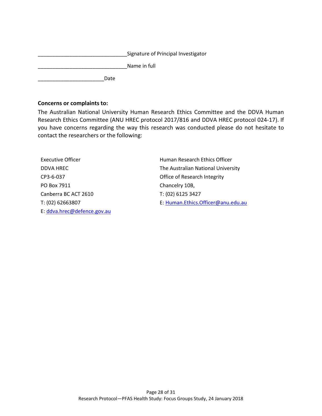| Signature of Principal Investigator |  |  |
|-------------------------------------|--|--|
| Name in full                        |  |  |

Date

#### **Concerns or complaints to:**

The Australian National University Human Research Ethics Committee and the DDVA Human Research Ethics Committee (ANU HREC protocol 2017/816 and DDVA HREC protocol 024-17). If you have concerns regarding the way this research was conducted please do not hesitate to contact the researchers or the following:

Executive Officer DDVA HREC CP3-6-037 PO Box 7911 Canberra BC ACT 2610 T: (02) 62663807 E: [ddva.hrec@defence.gov.au](file://mhsdata.anu.edu.au/mhs/workgroups/rsph/nceph/Projects/PFASstudy/Phase%20II/Focus%20groups/Ethics/DDVA/ddva.hrec@defence.gov.au) Human Research Ethics Officer The Australian National University Office of Research Integrity Chancelry 10B, T: (02) 6125 3427 E[: Human.Ethics.Officer@anu.edu.au](mailto:Human.Ethics.Officer@anu.edu.au)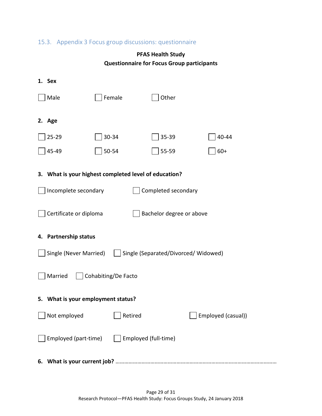# 15.3. Appendix 3 Focus group discussions: questionnaire

# **PFAS Health Study Questionnaire for Focus Group participants**

<span id="page-28-0"></span>

| 1. Sex                                                |         |                          |                    |  |
|-------------------------------------------------------|---------|--------------------------|--------------------|--|
| Male                                                  | Female  | Other                    |                    |  |
|                                                       |         |                          |                    |  |
| 2. Age                                                |         |                          |                    |  |
| 25-29                                                 | 30-34   | 35-39                    | 40-44              |  |
| 45-49                                                 | 50-54   | 55-59                    | $60+$              |  |
|                                                       |         |                          |                    |  |
| 3. What is your highest completed level of education? |         |                          |                    |  |
| Incomplete secondary                                  |         | Completed secondary      |                    |  |
|                                                       |         |                          |                    |  |
| Certificate or diploma                                |         | Bachelor degree or above |                    |  |
| <b>Partnership status</b><br>4.                       |         |                          |                    |  |
| Single (Never Married)                                |         |                          |                    |  |
| Single (Separated/Divorced/Widowed)                   |         |                          |                    |  |
| Married<br>Cohabiting/De Facto                        |         |                          |                    |  |
|                                                       |         |                          |                    |  |
| 5. What is your employment status?                    |         |                          |                    |  |
| Not employed                                          | Retired |                          | Employed (casual)) |  |
|                                                       |         |                          |                    |  |
| Employed (part-time)                                  |         | Employed (full-time)     |                    |  |
|                                                       |         |                          |                    |  |
|                                                       |         |                          |                    |  |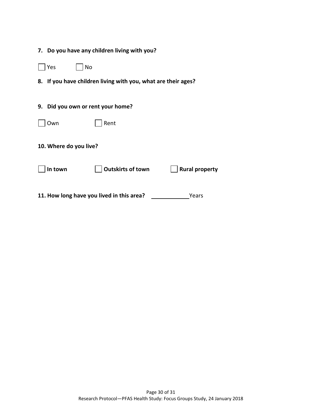|  |  |  | 7. Do you have any children living with you? |  |  |  |
|--|--|--|----------------------------------------------|--|--|--|
|--|--|--|----------------------------------------------|--|--|--|

| Yes<br>No                         |                                                               |                       |
|-----------------------------------|---------------------------------------------------------------|-----------------------|
|                                   | 8. If you have children living with you, what are their ages? |                       |
|                                   |                                                               |                       |
| 9. Did you own or rent your home? |                                                               |                       |
| Own                               | Rent                                                          |                       |
| 10. Where do you live?            |                                                               |                       |
| In town                           | <b>Outskirts of town</b>                                      | <b>Rural property</b> |
|                                   | 11. How long have you lived in this area?                     | Years                 |